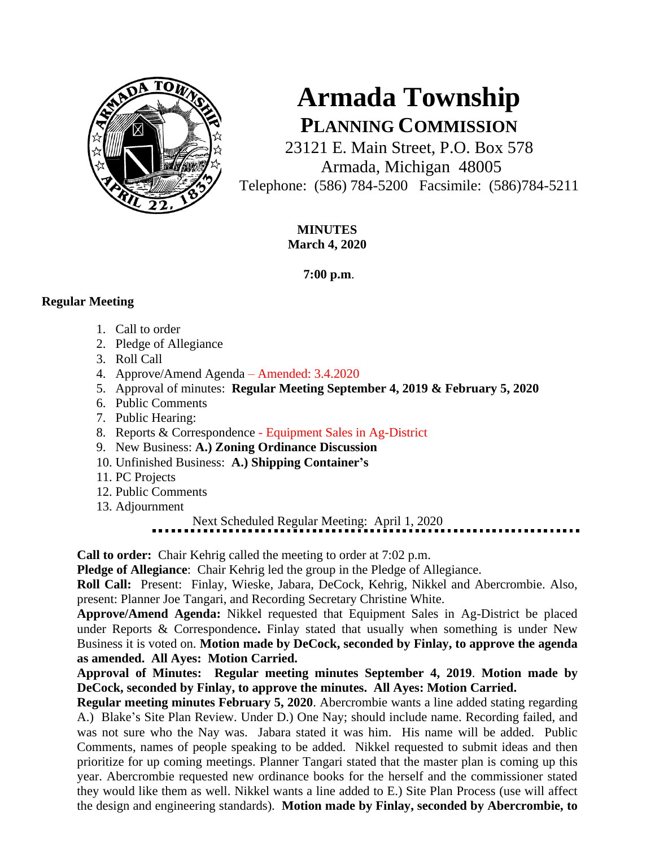

# **Armada Township PLANNING COMMISSION**

23121 E. Main Street, P.O. Box 578 Armada, Michigan 48005 Telephone: (586) 784-5200 Facsimile: (586)784-5211

> **MINUTES March 4, 2020**

> > **7:00 p.m**.

## **Regular Meeting**

- 1. Call to order
- 2. Pledge of Allegiance
- 3. Roll Call
- 4. Approve/Amend Agenda Amended: 3.4.2020
- 5. Approval of minutes: **Regular Meeting September 4, 2019 & February 5, 2020**
- 6. Public Comments
- 7. Public Hearing:
- 8. Reports & Correspondence Equipment Sales in Ag-District
- 9. New Business: **A.) Zoning Ordinance Discussion**
- 10. Unfinished Business: **A.) Shipping Container's**
- 11. PC Projects
- 12. Public Comments
- 13. Adjournment

Next Scheduled Regular Meeting: April 1, 2020

**Call to order:** Chair Kehrig called the meeting to order at 7:02 p.m.

**Pledge of Allegiance**: Chair Kehrig led the group in the Pledge of Allegiance.

**Roll Call:** Present: Finlay, Wieske, Jabara, DeCock, Kehrig, Nikkel and Abercrombie. Also, present: Planner Joe Tangari, and Recording Secretary Christine White.

**Approve/Amend Agenda:** Nikkel requested that Equipment Sales in Ag-District be placed under Reports & Correspondence**.** Finlay stated that usually when something is under New Business it is voted on. **Motion made by DeCock, seconded by Finlay, to approve the agenda as amended. All Ayes: Motion Carried.**

**Approval of Minutes: Regular meeting minutes September 4, 2019**. **Motion made by DeCock, seconded by Finlay, to approve the minutes. All Ayes: Motion Carried.** 

**Regular meeting minutes February 5, 2020**. Abercrombie wants a line added stating regarding A.) Blake's Site Plan Review. Under D.) One Nay; should include name. Recording failed, and was not sure who the Nay was. Jabara stated it was him. His name will be added. Public Comments, names of people speaking to be added. Nikkel requested to submit ideas and then prioritize for up coming meetings. Planner Tangari stated that the master plan is coming up this year. Abercrombie requested new ordinance books for the herself and the commissioner stated they would like them as well. Nikkel wants a line added to E.) Site Plan Process (use will affect the design and engineering standards). **Motion made by Finlay, seconded by Abercrombie, to**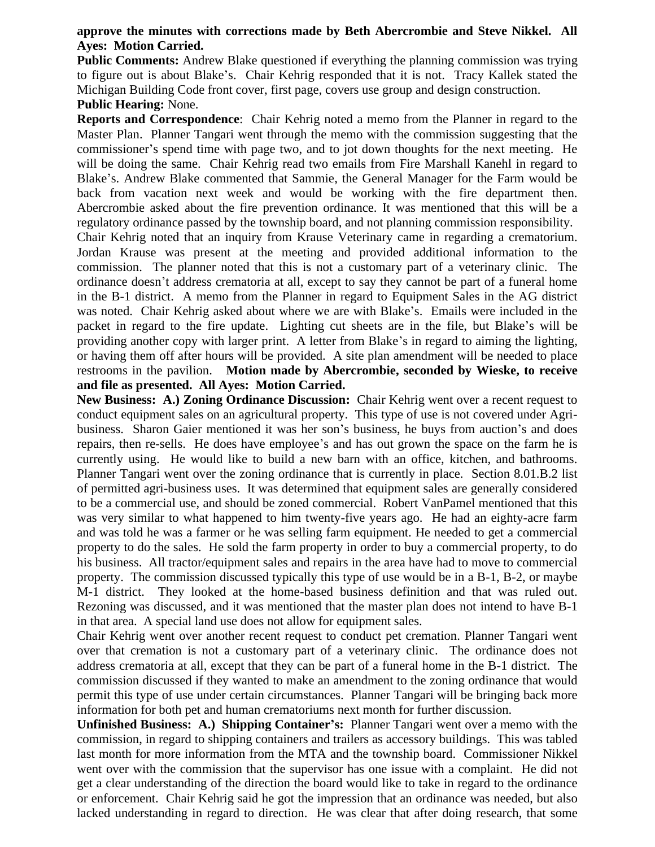### **approve the minutes with corrections made by Beth Abercrombie and Steve Nikkel. All Ayes: Motion Carried.**

**Public Comments:** Andrew Blake questioned if everything the planning commission was trying to figure out is about Blake's. Chair Kehrig responded that it is not. Tracy Kallek stated the Michigan Building Code front cover, first page, covers use group and design construction.

#### **Public Hearing:** None.

**Reports and Correspondence**: Chair Kehrig noted a memo from the Planner in regard to the Master Plan. Planner Tangari went through the memo with the commission suggesting that the commissioner's spend time with page two, and to jot down thoughts for the next meeting. He will be doing the same. Chair Kehrig read two emails from Fire Marshall Kanehl in regard to Blake's. Andrew Blake commented that Sammie, the General Manager for the Farm would be back from vacation next week and would be working with the fire department then. Abercrombie asked about the fire prevention ordinance. It was mentioned that this will be a regulatory ordinance passed by the township board, and not planning commission responsibility.

Chair Kehrig noted that an inquiry from Krause Veterinary came in regarding a crematorium. Jordan Krause was present at the meeting and provided additional information to the commission. The planner noted that this is not a customary part of a veterinary clinic. The ordinance doesn't address crematoria at all, except to say they cannot be part of a funeral home in the B-1 district. A memo from the Planner in regard to Equipment Sales in the AG district was noted. Chair Kehrig asked about where we are with Blake's. Emails were included in the packet in regard to the fire update. Lighting cut sheets are in the file, but Blake's will be providing another copy with larger print. A letter from Blake's in regard to aiming the lighting, or having them off after hours will be provided. A site plan amendment will be needed to place restrooms in the pavilion. **Motion made by Abercrombie, seconded by Wieske, to receive and file as presented. All Ayes: Motion Carried.**

**New Business: A.) Zoning Ordinance Discussion:** Chair Kehrig went over a recent request to conduct equipment sales on an agricultural property. This type of use is not covered under Agribusiness. Sharon Gaier mentioned it was her son's business, he buys from auction's and does repairs, then re-sells. He does have employee's and has out grown the space on the farm he is currently using. He would like to build a new barn with an office, kitchen, and bathrooms. Planner Tangari went over the zoning ordinance that is currently in place. Section 8.01.B.2 list of permitted agri-business uses. It was determined that equipment sales are generally considered to be a commercial use, and should be zoned commercial. Robert VanPamel mentioned that this was very similar to what happened to him twenty-five years ago. He had an eighty-acre farm and was told he was a farmer or he was selling farm equipment. He needed to get a commercial property to do the sales. He sold the farm property in order to buy a commercial property, to do his business. All tractor/equipment sales and repairs in the area have had to move to commercial property. The commission discussed typically this type of use would be in a B-1, B-2, or maybe M-1 district. They looked at the home-based business definition and that was ruled out. Rezoning was discussed, and it was mentioned that the master plan does not intend to have B-1 in that area. A special land use does not allow for equipment sales.

Chair Kehrig went over another recent request to conduct pet cremation. Planner Tangari went over that cremation is not a customary part of a veterinary clinic. The ordinance does not address crematoria at all, except that they can be part of a funeral home in the B-1 district. The commission discussed if they wanted to make an amendment to the zoning ordinance that would permit this type of use under certain circumstances. Planner Tangari will be bringing back more information for both pet and human crematoriums next month for further discussion.

**Unfinished Business: A.) Shipping Container's:** Planner Tangari went over a memo with the commission, in regard to shipping containers and trailers as accessory buildings. This was tabled last month for more information from the MTA and the township board. Commissioner Nikkel went over with the commission that the supervisor has one issue with a complaint. He did not get a clear understanding of the direction the board would like to take in regard to the ordinance or enforcement. Chair Kehrig said he got the impression that an ordinance was needed, but also lacked understanding in regard to direction. He was clear that after doing research, that some